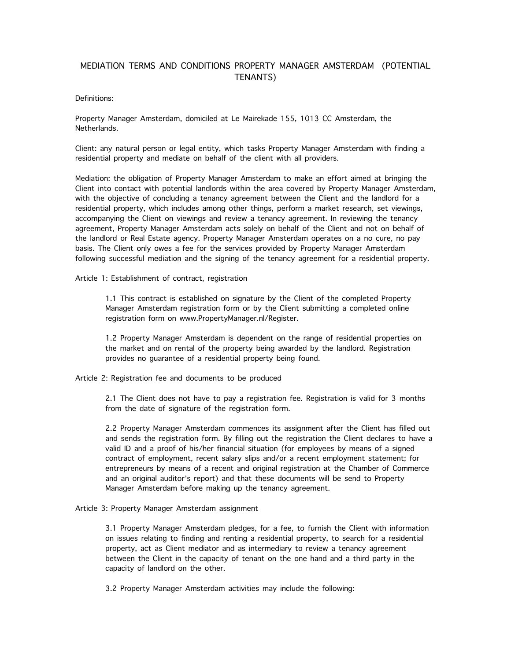# MEDIATION TERMS AND CONDITIONS PROPERTY MANAGER AMSTERDAM (POTENTIAL TENANTS)

### Definitions:

Property Manager Amsterdam, domiciled at Le Mairekade 155, 1013 CC Amsterdam, the Netherlands.

Client: any natural person or legal entity, which tasks Property Manager Amsterdam with finding a residential property and mediate on behalf of the client with all providers.

Mediation: the obligation of Property Manager Amsterdam to make an effort aimed at bringing the Client into contact with potential landlords within the area covered by Property Manager Amsterdam,<br>with the objective of concluding a tenancy agreement between the Client and the landlord for a residential property, which includes among other things, perform a market research, set viewings, accompanying the Client on viewings and review a tenancy agreement. In reviewing the tenancy agreement, Property Manager Amsterdam acts solely on behalf of the Client and not on behalf of the landlord or Real Estate agency. Property Manager Amsterdam operates on a no cure, no pay basis. The Client only owes a fee for the services provided by Property Manager Amsterdam following successful mediation and the signing of the tenancy agreement for a residential property.

Article 1: Establishment of contract, registration

1.1 This contract is established on signature by the Client of the completed Property Manager Amsterdam registration form or by the Client submitting a completed online registration form on www.PropertyManager.nl/Register.

1.2 Property Manager Amsterdam is dependent on the range of residential properties on the market and on rental of the property being awarded by the landlord. Registration provides no guarantee of a residential property being found.

Article 2: Registration fee and documents to be produced

2.1 The Client does not have to pay a registration fee. Registration is valid for 3 months from the date of signature of the registration form.

2.2 Property Manager Amsterdam commences its assignment after the Client has filled out and sends the registration form. By filling out the registration the Client declares to have a valid ID and a proof of his/her financial situation (for employees by means of a signed contract of employment, recent salary slips and/or a recent employment statement; for entrepreneurs by means of a recent and original registration at the Chamber of Commerce and an original auditor's report) and that these documents will be send to Property Manager Amsterdam before making up the tenancy agreement.

Article 3: Property Manager Amsterdam assignment

3.1 Property Manager Amsterdam pledges, for a fee, to furnish the Client with information on issues relating to finding and renting a residential property, to search for a residential property, act as Client mediator and as intermediary to review a tenancy agreement between the Client in the capacity of tenant on the one hand and a third party in the capacity of landlord on the other.

3.2 Property Manager Amsterdam activities may include the following: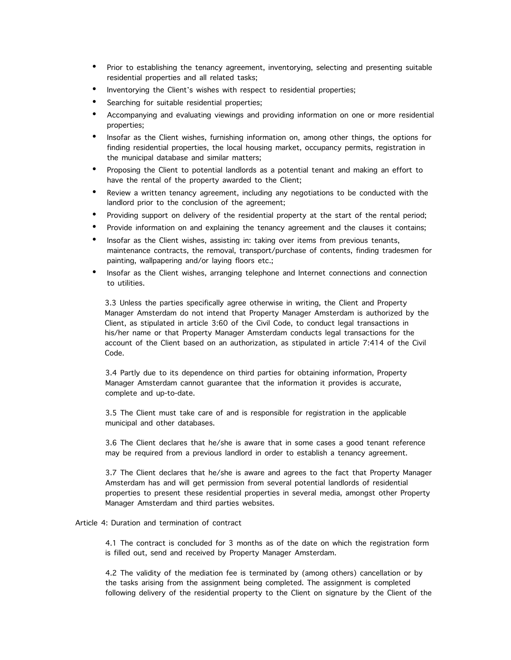- Prior to establishing the tenancy agreement, inventorying, selecting and presenting suitable residential properties and all related tasks;
- Inventorying the Client's wishes with respect to residential properties;
- Searching for suitable residential properties;
- Accompanying and evaluating viewings and providing information on one or more residential properties;
- Insofar as the Client wishes, furnishing information on, among other things, the options for finding residential properties, the local housing market, occupancy permits, registration in the municipal database and similar matters;
- Proposing the Client to potential landlords as a potential tenant and making an effort to have the rental of the property awarded to the Client;
- Review a written tenancy agreement, including any negotiations to be conducted with the landlord prior to the conclusion of the agreement;
- Providing support on delivery of the residential property at the start of the rental period;
- Provide information on and explaining the tenancy agreement and the clauses it contains;
- Insofar as the Client wishes, assisting in: taking over items from previous tenants, maintenance contracts, the removal, transport/purchase of contents, finding tradesmen for painting, wallpapering and/or laying floors etc.;
- Insofar as the Client wishes, arranging telephone and Internet connections and connection to utilities.

3.3 Unless the parties specifically agree otherwise in writing, the Client and Property Manager Amsterdam do not intend that Property Manager Amsterdam is authorized by the Client, as stipulated in article 3:60 of the Civil Code, to conduct legal transactions in his/her name or that Property Manager Amsterdam conducts legal transactions for the account of the Client based on an authorization, as stipulated in article 7:414 of the Civil Code.

3.4 Partly due to its dependence on third parties for obtaining information, Property Manager Amsterdam cannot guarantee that the information it provides is accurate, complete and up-to-date.

3.5 The Client must take care of and is responsible for registration in the applicable municipal and other databases.

3.6 The Client declares that he/she is aware that in some cases a good tenant reference may be required from a previous landlord in order to establish a tenancy agreement.

3.7 The Client declares that he/she is aware and agrees to the fact that Property Manager Amsterdam has and will get permission from several potential landlords of residential properties to present these residential properties in several media, amongst other Property Manager Amsterdam and third parties websites.

# Article 4: Duration and termination of contract

4.1 The contract is concluded for 3 months as of the date on which the registration form is filled out, send and received by Property Manager Amsterdam.

4.2 The validity of the mediation fee is terminated by (among others) cancellation or by the tasks arising from the assignment being completed. The assignment is completed following delivery of the residential property to the Client on signature by the Client of the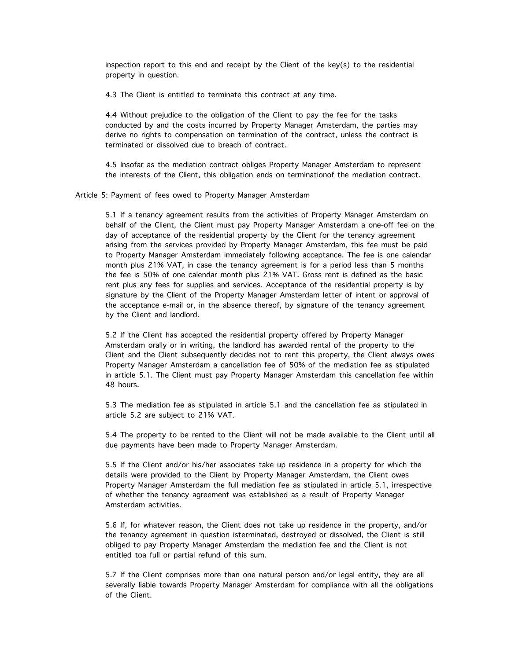inspection report to this end and receipt by the Client of the key(s) to the residential property in question.

4.3 The Client is entitled to terminate this contract at any time.

4.4 Without prejudice to the obligation of the Client to pay the fee for the tasks conducted by and the costs incurred by Property Manager Amsterdam, the parties may derive no rights to compensation on termination of the contract, unless the contract is terminated or dissolved due to breach of contract.

4.5 Insofar as the mediation contract obliges Property Manager Amsterdam to represent the interests of the Client, this obligation ends on terminationof the mediation contract.

Article 5: Payment of fees owed to Property Manager Amsterdam

5.1 If a tenancy agreement results from the activities of Property Manager Amsterdam on behalf of the Client, the Client must pay Property Manager Amsterdam a one-off fee on the day of acceptance of the residential property by the Client for the tenancy agreement arising from the services provided by Property Manager Amsterdam, this fee must be paid to Property Manager Amsterdam immediately following acceptance. The fee is one calendar month plus 21% VAT, in case the tenancy agreement is for a period less than 5 months the fee is 50% of one calendar month plus 21% VAT. Gross rent is defined as the basic rent plus any fees for supplies and services. Acceptance of the residential property is by signature by the Client of the Property Manager Amsterdam letter of intent or approval of the acceptance e-mail or, in the absence thereof, by signature of the tenancy agreement by the Client and landlord.

5.2 If the Client has accepted the residential property offered by Property Manager Amsterdam orally or in writing, the landlord has awarded rental of the property to the Client and the Client subsequently decides not to rent this property, the Client always owes Property Manager Amsterdam a cancellation fee of 50% of the mediation fee as stipulated in article 5.1. The Client must pay Property Manager Amsterdam this cancellation fee within 48 hours.

5.3 The mediation fee as stipulated in article 5.1 and the cancellation fee as stipulated in article 5.2 are subject to 21% VAT.

5.4 The property to be rented to the Client will not be made available to the Client until all due payments have been made to Property Manager Amsterdam.

5.5 If the Client and/or his/her associates take up residence in a property for which the details were provided to the Client by Property Manager Amsterdam, the Client owes Property Manager Amsterdam the full mediation fee as stipulated in article 5.1, irrespective of whether the tenancy agreement was established as a result of Property Manager Amsterdam activities.

5.6 If, for whatever reason, the Client does not take up residence in the property, and/or the tenancy agreement in question isterminated, destroyed or dissolved, the Client is still obliged to pay Property Manager Amsterdam the mediation fee and the Client is not entitled toa full or partial refund of this sum.

5.7 If the Client comprises more than one natural person and/or legal entity, they are all severally liable towards Property Manager Amsterdam for compliance with all the obligations of the Client.